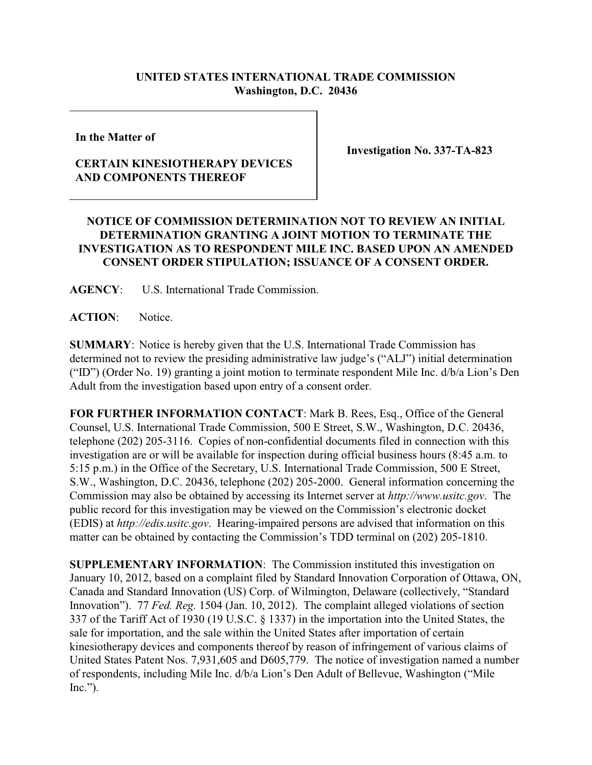# **UNITED STATES INTERNATIONAL TRADE COMMISSION Washington, D.C. 20436**

**In the Matter of** 

## **CERTAIN KINESIOTHERAPY DEVICES AND COMPONENTS THEREOF**

**Investigation No. 337-TA-823**

## **NOTICE OF COMMISSION DETERMINATION NOT TO REVIEW AN INITIAL DETERMINATION GRANTING A JOINT MOTION TO TERMINATE THE INVESTIGATION AS TO RESPONDENT MILE INC. BASED UPON AN AMENDED CONSENT ORDER STIPULATION; ISSUANCE OF A CONSENT ORDER.**

**AGENCY**: U.S. International Trade Commission.

**ACTION**: Notice.

**SUMMARY**: Notice is hereby given that the U.S. International Trade Commission has determined not to review the presiding administrative law judge's ("ALJ") initial determination ("ID") (Order No. 19) granting a joint motion to terminate respondent Mile Inc. d/b/a Lion's Den Adult from the investigation based upon entry of a consent order.

**FOR FURTHER INFORMATION CONTACT**: Mark B. Rees, Esq., Office of the General Counsel, U.S. International Trade Commission, 500 E Street, S.W., Washington, D.C. 20436, telephone (202) 205-3116. Copies of non-confidential documents filed in connection with this investigation are or will be available for inspection during official business hours (8:45 a.m. to 5:15 p.m.) in the Office of the Secretary, U.S. International Trade Commission, 500 E Street, S.W., Washington, D.C. 20436, telephone (202) 205-2000. General information concerning the Commission may also be obtained by accessing its Internet server at *http://www.usitc.gov*. The public record for this investigation may be viewed on the Commission's electronic docket (EDIS) at *http://edis.usitc.gov*. Hearing-impaired persons are advised that information on this matter can be obtained by contacting the Commission's TDD terminal on (202) 205-1810.

**SUPPLEMENTARY INFORMATION**: The Commission instituted this investigation on January 10, 2012, based on a complaint filed by Standard Innovation Corporation of Ottawa, ON, Canada and Standard Innovation (US) Corp. of Wilmington, Delaware (collectively, "Standard Innovation"). 77 *Fed. Reg.* 1504 (Jan. 10, 2012). The complaint alleged violations of section 337 of the Tariff Act of 1930 (19 U.S.C. § 1337) in the importation into the United States, the sale for importation, and the sale within the United States after importation of certain kinesiotherapy devices and components thereof by reason of infringement of various claims of United States Patent Nos. 7,931,605 and D605,779. The notice of investigation named a number of respondents, including Mile Inc. d/b/a Lion's Den Adult of Bellevue, Washington ("Mile  $Inc."$ ).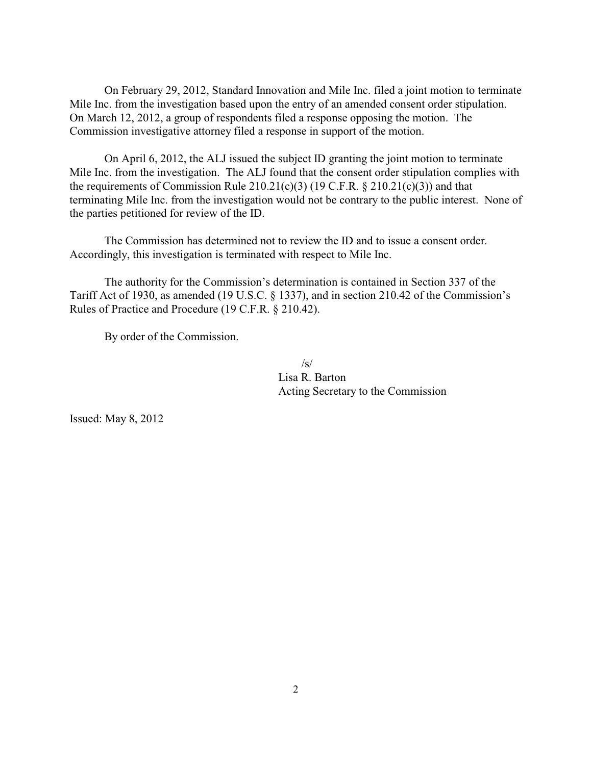On February 29, 2012, Standard Innovation and Mile Inc. filed a joint motion to terminate Mile Inc. from the investigation based upon the entry of an amended consent order stipulation. On March 12, 2012, a group of respondents filed a response opposing the motion. The Commission investigative attorney filed a response in support of the motion.

On April 6, 2012, the ALJ issued the subject ID granting the joint motion to terminate Mile Inc. from the investigation. The ALJ found that the consent order stipulation complies with the requirements of Commission Rule  $210.21(c)(3)$  (19 C.F.R. § 210.21(c)(3)) and that terminating Mile Inc. from the investigation would not be contrary to the public interest. None of the parties petitioned for review of the ID.

The Commission has determined not to review the ID and to issue a consent order. Accordingly, this investigation is terminated with respect to Mile Inc.

The authority for the Commission's determination is contained in Section 337 of the Tariff Act of 1930, as amended (19 U.S.C. § 1337), and in section 210.42 of the Commission's Rules of Practice and Procedure (19 C.F.R. § 210.42).

By order of the Commission.

 $/s/$ Lisa R. Barton Acting Secretary to the Commission

Issued: May 8, 2012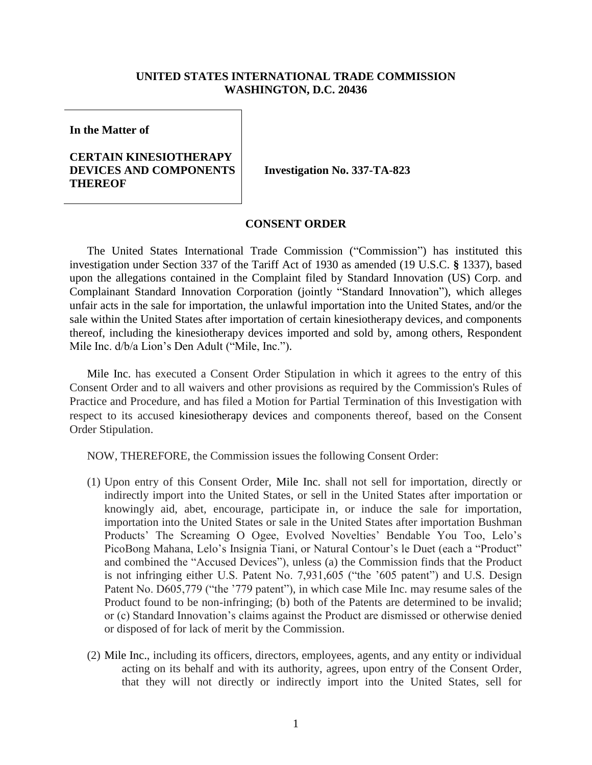#### **UNITED STATES INTERNATIONAL TRADE COMMISSION WASHINGTON, D.C. 20436**

**In the Matter of**

### **CERTAIN KINESIOTHERAPY DEVICES AND COMPONENTS THEREOF**

**Investigation No. 337-TA-823**

#### **CONSENT ORDER**

The United States International Trade Commission ("Commission") has instituted this investigation under Section 337 of the Tariff Act of 1930 as amended (19 U.S.C. **§** 1337), based upon the allegations contained in the Complaint filed by Standard Innovation (US) Corp. and Complainant Standard Innovation Corporation (jointly "Standard Innovation"), which alleges unfair acts in the sale for importation, the unlawful importation into the United States, and/or the sale within the United States after importation of certain kinesiotherapy devices, and components thereof, including the kinesiotherapy devices imported and sold by, among others, Respondent Mile Inc. d/b/a Lion's Den Adult ("Mile, Inc.").

Mile Inc. has executed a Consent Order Stipulation in which it agrees to the entry of this Consent Order and to all waivers and other provisions as required by the Commission's Rules of Practice and Procedure, and has filed a Motion for Partial Termination of this Investigation with respect to its accused kinesiotherapy devices and components thereof, based on the Consent Order Stipulation.

NOW, THEREFORE, the Commission issues the following Consent Order:

- (1) Upon entry of this Consent Order, Mile Inc. shall not sell for importation, directly or indirectly import into the United States, or sell in the United States after importation or knowingly aid, abet, encourage, participate in, or induce the sale for importation, importation into the United States or sale in the United States after importation Bushman Products' The Screaming O Ogee, Evolved Novelties' Bendable You Too, Lelo's PicoBong Mahana, Lelo's Insignia Tiani, or Natural Contour's le Duet (each a "Product" and combined the "Accused Devices"), unless (a) the Commission finds that the Product is not infringing either U.S. Patent No. 7,931,605 ("the '605 patent") and U.S. Design Patent No. D605,779 ("the '779 patent"), in which case Mile Inc. may resume sales of the Product found to be non-infringing; (b) both of the Patents are determined to be invalid; or (c) Standard Innovation's claims against the Product are dismissed or otherwise denied or disposed of for lack of merit by the Commission.
- (2) Mile Inc., including its officers, directors, employees, agents, and any entity or individual acting on its behalf and with its authority, agrees, upon entry of the Consent Order, that they will not directly or indirectly import into the United States, sell for